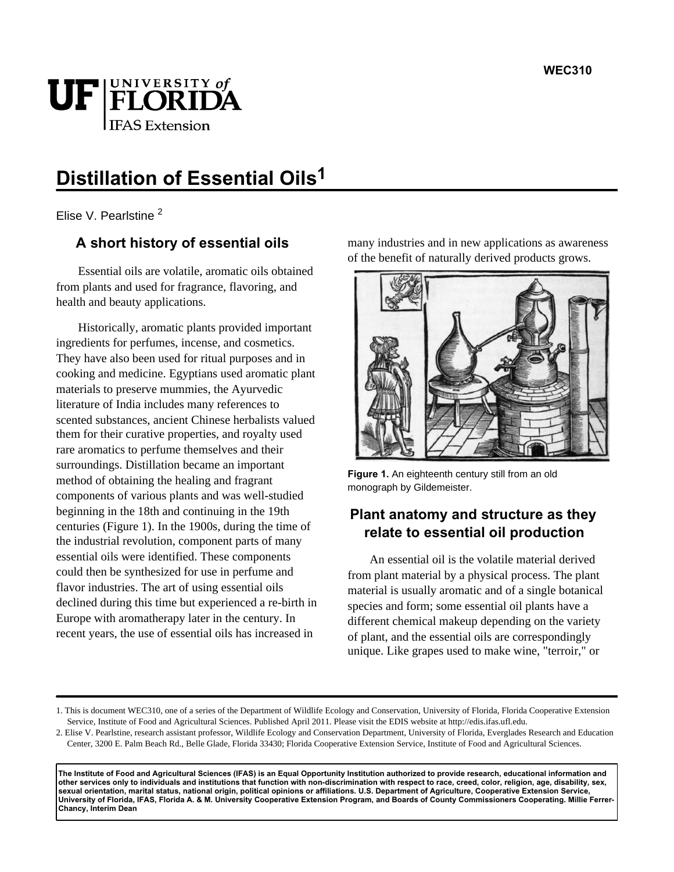

# **Distillation of Essential Oils1**

Elise V. Pearlstine<sup>2</sup>

## **A short history of essential oils**

Essential oils are volatile, aromatic oils obtained from plants and used for fragrance, flavoring, and health and beauty applications.

Historically, aromatic plants provided important ingredients for perfumes, incense, and cosmetics. They have also been used for ritual purposes and in cooking and medicine. Egyptians used aromatic plant materials to preserve mummies, the Ayurvedic literature of India includes many references to scented substances, ancient Chinese herbalists valued them for their curative properties, and royalty used rare aromatics to perfume themselves and their surroundings. Distillation became an important method of obtaining the healing and fragrant components of various plants and was well-studied beginning in the 18th and continuing in the 19th centuries (Figure 1). In the 1900s, during the time of the industrial revolution, component parts of many essential oils were identified. These components could then be synthesized for use in perfume and flavor industries. The art of using essential oils declined during this time but experienced a re-birth in Europe with aromatherapy later in the century. In recent years, the use of essential oils has increased in

many industries and in new applications as awareness of the benefit of naturally derived products grows.



**Figure 1.** An eighteenth century still from an old monograph by Gildemeister.

# **Plant anatomy and structure as they relate to essential oil production**

An essential oil is the volatile material derived from plant material by a physical process. The plant material is usually aromatic and of a single botanical species and form; some essential oil plants have a different chemical makeup depending on the variety of plant, and the essential oils are correspondingly unique. Like grapes used to make wine, "terroir," or

**The Institute of Food and Agricultural Sciences (IFAS) is an Equal Opportunity Institution authorized to provide research, educational information and other services only to individuals and institutions that function with non-discrimination with respect to race, creed, color, religion, age, disability, sex, sexual orientation, marital status, national origin, political opinions or affiliations. U.S. Department of Agriculture, Cooperative Extension Service, University of Florida, IFAS, Florida A. & M. University Cooperative Extension Program, and Boards of County Commissioners Cooperating. Millie Ferrer-Chancy, Interim Dean**

<sup>1.</sup> This is document WEC310, one of a series of the Department of Wildlife Ecology and Conservation, University of Florida, Florida Cooperative Extension Service, Institute of Food and Agricultural Sciences. Published April 2011. Please visit the EDIS website at http://edis.ifas.ufl.edu.

<sup>2.</sup> Elise V. Pearlstine, research assistant professor, Wildlife Ecology and Conservation Department, University of Florida, Everglades Research and Education Center, 3200 E. Palm Beach Rd., Belle Glade, Florida 33430; Florida Cooperative Extension Service, Institute of Food and Agricultural Sciences.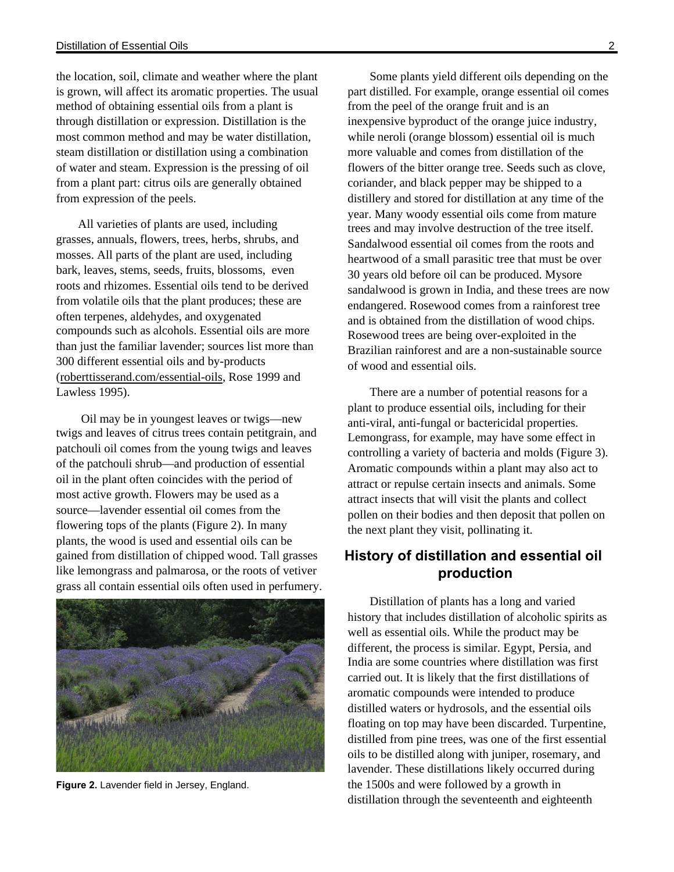the location, soil, climate and weather where the plant is grown, will affect its aromatic properties. The usual method of obtaining essential oils from a plant is through distillation or expression. Distillation is the most common method and may be water distillation, steam distillation or distillation using a combination of water and steam. Expression is the pressing of oil from a plant part: citrus oils are generally obtained from expression of the peels.

All varieties of plants are used, including grasses, annuals, flowers, trees, herbs, shrubs, and mosses. All parts of the plant are used, including bark, leaves, stems, seeds, fruits, blossoms, even roots and rhizomes. Essential oils tend to be derived from volatile oils that the plant produces; these are often terpenes, aldehydes, and oxygenated compounds such as alcohols. Essential oils are more than just the familiar lavender; sources list more than 300 different essential oils and by-products (roberttisserand.com/essential-oils, Rose 1999 and Lawless 1995).

 Oil may be in youngest leaves or twigs—new twigs and leaves of citrus trees contain petitgrain, and patchouli oil comes from the young twigs and leaves of the patchouli shrub—and production of essential oil in the plant often coincides with the period of most active growth. Flowers may be used as a source—lavender essential oil comes from the flowering tops of the plants (Figure 2). In many plants, the wood is used and essential oils can be gained from distillation of chipped wood. Tall grasses like lemongrass and palmarosa, or the roots of vetiver grass all contain essential oils often used in perfumery.



**Figure 2.** Lavender field in Jersey, England.

Some plants yield different oils depending on the part distilled. For example, orange essential oil comes from the peel of the orange fruit and is an inexpensive byproduct of the orange juice industry, while neroli (orange blossom) essential oil is much more valuable and comes from distillation of the flowers of the bitter orange tree. Seeds such as clove, coriander, and black pepper may be shipped to a distillery and stored for distillation at any time of the year. Many woody essential oils come from mature trees and may involve destruction of the tree itself. Sandalwood essential oil comes from the roots and heartwood of a small parasitic tree that must be over 30 years old before oil can be produced. Mysore

sandalwood is grown in India, and these trees are now endangered. Rosewood comes from a rainforest tree and is obtained from the distillation of wood chips. Rosewood trees are being over-exploited in the Brazilian rainforest and are a non-sustainable source of wood and essential oils.

There are a number of potential reasons for a plant to produce essential oils, including for their anti-viral, anti-fungal or bactericidal properties. Lemongrass, for example, may have some effect in controlling a variety of bacteria and molds (Figure 3). Aromatic compounds within a plant may also act to attract or repulse certain insects and animals. Some attract insects that will visit the plants and collect pollen on their bodies and then deposit that pollen on the next plant they visit, pollinating it.

## **History of distillation and essential oil production**

Distillation of plants has a long and varied history that includes distillation of alcoholic spirits as well as essential oils. While the product may be different, the process is similar. Egypt, Persia, and India are some countries where distillation was first carried out. It is likely that the first distillations of aromatic compounds were intended to produce distilled waters or hydrosols, and the essential oils floating on top may have been discarded. Turpentine, distilled from pine trees, was one of the first essential oils to be distilled along with juniper, rosemary, and lavender. These distillations likely occurred during the 1500s and were followed by a growth in distillation through the seventeenth and eighteenth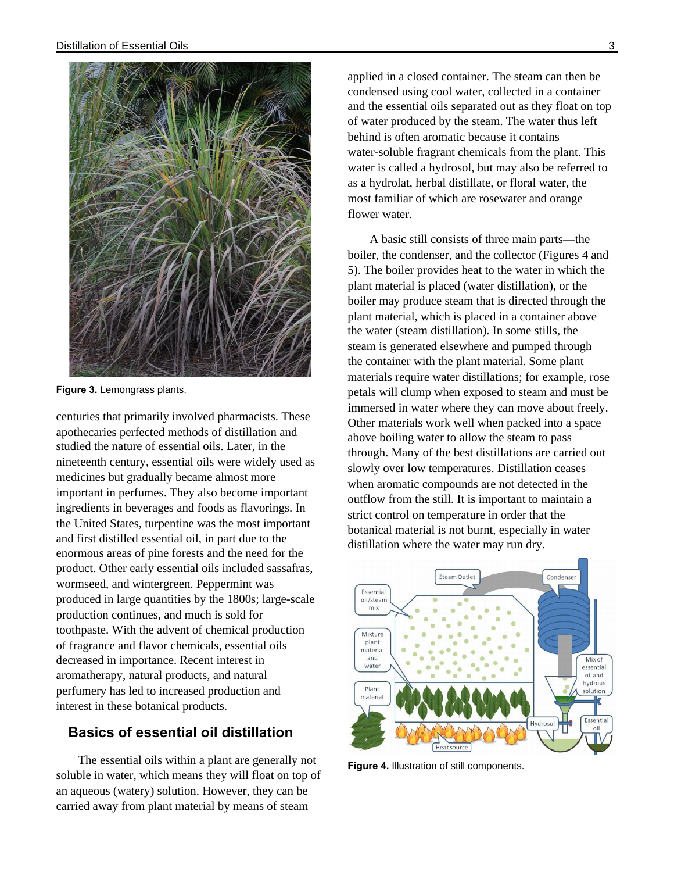

**Figure 3.** Lemongrass plants.

centuries that primarily involved pharmacists. These apothecaries perfected methods of distillation and studied the nature of essential oils. Later, in the nineteenth century, essential oils were widely used as medicines but gradually became almost more important in perfumes. They also become important ingredients in beverages and foods as flavorings. In the United States, turpentine was the most important and first distilled essential oil, in part due to the enormous areas of pine forests and the need for the product. Other early essential oils included sassafras, wormseed, and wintergreen. Peppermint was produced in large quantities by the 1800s; large-scale production continues, and much is sold for toothpaste. With the advent of chemical production of fragrance and flavor chemicals, essential oils decreased in importance. Recent interest in aromatherapy, natural products, and natural perfumery has led to increased production and interest in these botanical products.

### **Basics of essential oil distillation**

The essential oils within a plant are generally not soluble in water, which means they will float on top of an aqueous (watery) solution. However, they can be carried away from plant material by means of steam

applied in a closed container. The steam can then be condensed using cool water, collected in a container and the essential oils separated out as they float on top of water produced by the steam. The water thus left behind is often aromatic because it contains water-soluble fragrant chemicals from the plant. This water is called a hydrosol, but may also be referred to as a hydrolat, herbal distillate, or floral water, the most familiar of which are rosewater and orange flower water.

A basic still consists of three main parts—the boiler, the condenser, and the collector (Figures 4 and 5). The boiler provides heat to the water in which the plant material is placed (water distillation), or the boiler may produce steam that is directed through the plant material, which is placed in a container above the water (steam distillation). In some stills, the steam is generated elsewhere and pumped through the container with the plant material. Some plant materials require water distillations; for example, rose petals will clump when exposed to steam and must be immersed in water where they can move about freely. Other materials work well when packed into a space above boiling water to allow the steam to pass through. Many of the best distillations are carried out slowly over low temperatures. Distillation ceases when aromatic compounds are not detected in the outflow from the still. It is important to maintain a strict control on temperature in order that the botanical material is not burnt, especially in water distillation where the water may run dry.



**Figure 4.** Illustration of still components.